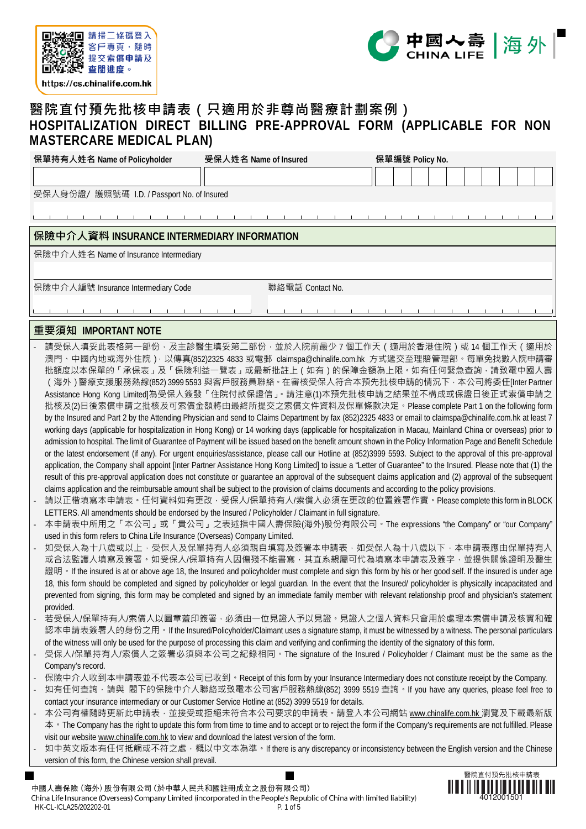



## **醫院直付預先批核申請表(只適用於非尊尚醫療計劃案例) HOSPITALIZATION DIRECT BILLING PRE-APPROVAL FORM (APPLICABLE FOR NON MASTERCARE MEDICAL PLAN)**

| 保單持有人姓名 Name of Policyholder                | 受保人姓名 Name of Insured | 保單編號 Policy No. |
|---------------------------------------------|-----------------------|-----------------|
|                                             |                       |                 |
| 受保人身份證/ 護照號碼 I.D. / Passport No. of Insured |                       |                 |
|                                             |                       |                 |
| 保險中介人資料 INSURANCE INTERMEDIARY INFORMATION  |                       |                 |
| 保險中介人姓名 Name of Insurance Intermediary      |                       |                 |
|                                             |                       |                 |

保險中介人編號 Insurance Intermediary Code **Warelly of Warell Motion** 聯絡電話 Contact No.

## **重要須知 IMPORTANT NOTE**

- 請受保人填妥此表格第一部份,及主診醫生填妥第二部份,並於入院前最少 7 個工作天 ( 適用於香港住院 ) 或 14 個工作天 ( 適用於 澳門、中國內地或海外住院),以傳真(852)2325 4833 或電郵 claimspa@chinalife.com.hk 方式遞交至理賠管理部。每單免找數入院申請審 批額度以本保單的「承保表」及「保險利益一覽表」或最新批註上 ( 如有 ) 的保障金額為上限 · 如有任何緊急查詢 · 請致電中國人壽 (海外)醫療支援服務熱線(852) 3999 5593 與客戶服務員聯絡。在審核受保人符合本預先批核申請的情況下,本公司將委任[Inter Partner Assistance Hong Kong Limited]為受保人簽發「住院付款保證信」。請注意(1)本預先批核申請之結果並不構成或保證日後正式索償申請之 批核及(2)日後索償申請之批核及可索償金額將由最終所提交之索償文件資料及保單條款决定。Please complete Part 1 on the following form by the Insured and Part 2 by the Attending Physician and send to Claims Department by fax (852)2325 4833 or email to claimspa@chinalife.com.hk at least 7 working days (applicable for hospitalization in Hong Kong) or 14 working days (applicable for hospitalization in Macau, Mainland China or overseas) prior to admission to hospital. The limit of Guarantee of Payment will be issued based on the benefit amount shown in the Policy Information Page and Benefit Schedule or the latest endorsement (if any). For urgent enquiries/assistance, please call our Hotline at (852)3999 5593. Subject to the approval of this pre-approval application, the Company shall appoint [Inter Partner Assistance Hong Kong Limited] to issue a "Letter of Guarantee" to the Insured. Please note that (1) the result of this pre-approval application does not constitute or guarantee an approval of the subsequent claims application and (2) approval of the subsequent claims application and the reimbursable amount shall be subject to the provision of claims documents and according to the policy provisions.
- 請以正楷填寫本申請表。任何資料如有更改,受保人/保單持有人/索償人必須在更改的位置簽署作實。Please complete this form in BLOCK LETTERS. All amendments should be endorsed by the Insured / Policyholder / Claimant in full signature.
- 本申請表中所用之「本公司」或「貴公司」之表述指中國人壽保險(海外)股份有限公司。The expressions "the Company" or "our Company" used in this form refers to China Life Insurance (Overseas) Company Limited.
- 如受保人為十八歲或以上,受保人及保單持有人必須親自填寫及簽署本申請表,如受保人為十八歲以下,本申請表應由保單持有人 或合法監護人填寫及簽署。如受保人/保單持有人因傷殘不能書寫,其直系親屬可代為填寫本申請表及簽字,並提供關係證明及醫生 證明 • If the insured is at or above age 18, the Insured and policyholder must complete and sign this form by his or her good self. If the insured is under age 18, this form should be completed and signed by policyholder or legal guardian. In the event that the Insured/ policyholder is physically incapacitated and prevented from signing, this form may be completed and signed by an immediate family member with relevant relationship proof and physician's statement provided.
- 若受保人/保單持有人/索償人以圖章蓋印簽署,必須由一位見證人予以見證。見證人之個人資料只會用於處理本索償申請及核實和確 認本申請表簽署人的身份之用。If the Insured/Policyholder/Claimant uses a signature stamp, it must be witnessed by a witness. The personal particulars of the witness will only be used for the purpose of processing this claim and verifying and confirming the identity of the signatory of this form.
- 受保人/保單持有人/索償人之簽署必須與本公司之紀錄相同。The signature of the Insured / Policyholder / Claimant must be the same as the Company's record.
- 保險中介人收到本申請表並不代表本公司已收到。Receipt of this form by your Insurance Intermediary does not constitute receipt by the Company.
- 如有任何查詢·請與 閣下的保險中介人聯絡或致電本公司客戶服務熱線(852) 3999 5519 查詢·If you have any queries, please feel free to contact your insurance intermediary or our Customer Service Hotline at (852) 3999 5519 for details.
- 本公司有權隨時更新此申請表‧並接受或拒絕未符合本公司要求的申請表‧請登入本公司網站 www.chinalife.com.hk 瀏覽及下載最新版 本 • The Company has the right to update this form from time to time and to accept or to reject the form if the Company's requirements are not fulfilled. Please visit our website www.chinalife.com.hk to view and download the latest version of the form.
- 如中英文版本有任何抵觸或不符之處,概以中文本為準。If there is any discrepancy or inconsistency between the English version and the Chinese version of this form, the Chinese version shall prevail.

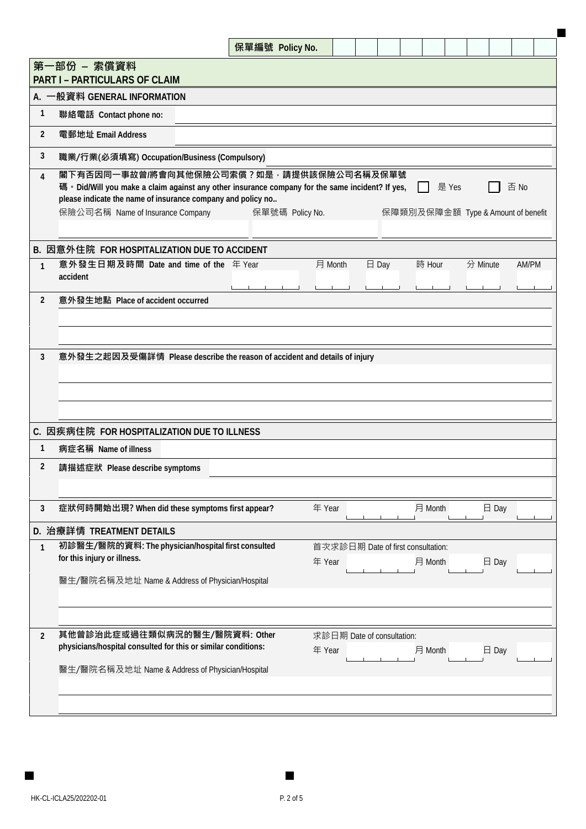|                |                                                                                                                                                                                                                                                 |  | 保單編號 Policy No. |                                              |                 |         |       |                                    |                 |       |  |
|----------------|-------------------------------------------------------------------------------------------------------------------------------------------------------------------------------------------------------------------------------------------------|--|-----------------|----------------------------------------------|-----------------|---------|-------|------------------------------------|-----------------|-------|--|
|                | 第一部份 - 索償資料                                                                                                                                                                                                                                     |  |                 |                                              |                 |         |       |                                    |                 |       |  |
|                | <b>PART I - PARTICULARS OF CLAIM</b>                                                                                                                                                                                                            |  |                 |                                              |                 |         |       |                                    |                 |       |  |
|                | A. 一般資料 GENERAL INFORMATION                                                                                                                                                                                                                     |  |                 |                                              |                 |         |       |                                    |                 |       |  |
| 1              | 聯絡電話 Contact phone no:                                                                                                                                                                                                                          |  |                 |                                              |                 |         |       |                                    |                 |       |  |
| $\overline{2}$ | 電郵地址 Email Address                                                                                                                                                                                                                              |  |                 |                                              |                 |         |       |                                    |                 |       |  |
| 3              | 職業/行業(必須填寫) Occupation/Business (Compulsory)                                                                                                                                                                                                    |  |                 |                                              |                 |         |       |                                    |                 |       |  |
| $\overline{4}$ | 閣下有否因同一事故曾/將會向其他保險公司索償?如是,請提供該保險公司名稱及保單號<br>碼 • Did/Will you make a claim against any other insurance company for the same incident? If yes,<br>please indicate the name of insurance company and policy no<br>保險公司名稱 Name of Insurance Company |  | 保單號碼 Policy No. |                                              |                 |         | 是 Yes | 保障類別及保障金額 Type & Amount of benefit |                 | 否 No  |  |
|                | B. 因意外住院 FOR HOSPITALIZATION DUE TO ACCIDENT                                                                                                                                                                                                    |  |                 |                                              |                 |         |       |                                    |                 |       |  |
| 1              | 意外發生日期及時間 Date and time of the 年 Year<br>accident                                                                                                                                                                                               |  |                 | 月 Month                                      | $\boxminus$ Day | 時 Hour  |       | 分 Minute                           |                 | AM/PM |  |
| $\overline{2}$ | 意外發生地點 Place of accident occurred                                                                                                                                                                                                               |  |                 |                                              |                 |         |       |                                    |                 |       |  |
| 3              | 意外發生之起因及受傷詳情 Please describe the reason of accident and details of injury                                                                                                                                                                       |  |                 |                                              |                 |         |       |                                    |                 |       |  |
|                | C. 因疾病住院 FOR HOSPITALIZATION DUE TO ILLNESS                                                                                                                                                                                                     |  |                 |                                              |                 |         |       |                                    |                 |       |  |
| 1              | 病症名稱 Name of illness                                                                                                                                                                                                                            |  |                 |                                              |                 |         |       |                                    |                 |       |  |
| 2              | 請描述症狀 Please describe symptoms                                                                                                                                                                                                                  |  |                 |                                              |                 |         |       |                                    |                 |       |  |
| 3              | 症狀何時開始出現? When did these symptoms first appear?                                                                                                                                                                                                 |  |                 | 年 Year                                       |                 | 月 Month |       |                                    | $\boxminus$ Day |       |  |
|                | D. 治療詳情 TREATMENT DETAILS                                                                                                                                                                                                                       |  |                 |                                              |                 |         |       |                                    |                 |       |  |
| 1              | 初診醫生/醫院的資料: The physician/hospital first consulted<br>for this injury or illness.<br>醫生/醫院名稱及地址 Name & Address of Physician/Hospital                                                                                                            |  |                 | 首次求診日期 Date of first consultation:<br>年 Year |                 | 月 Month |       |                                    | $\boxminus$ Day |       |  |
|                |                                                                                                                                                                                                                                                 |  |                 |                                              |                 |         |       |                                    |                 |       |  |
| $\overline{2}$ | 其他曾診治此症或過往類似病況的醫生/醫院資料: Other<br>physicians/hospital consulted for this or similar conditions:                                                                                                                                                  |  |                 | 求診日期 Date of consultation:<br>年 Year         |                 | 月 Month |       |                                    | $\boxminus$ Day |       |  |
|                | 醫生/醫院名稱及地址 Name & Address of Physician/Hospital                                                                                                                                                                                                 |  |                 |                                              |                 |         |       |                                    |                 |       |  |
|                |                                                                                                                                                                                                                                                 |  |                 |                                              |                 |         |       |                                    |                 |       |  |

 $\blacksquare$ 

 $\blacksquare$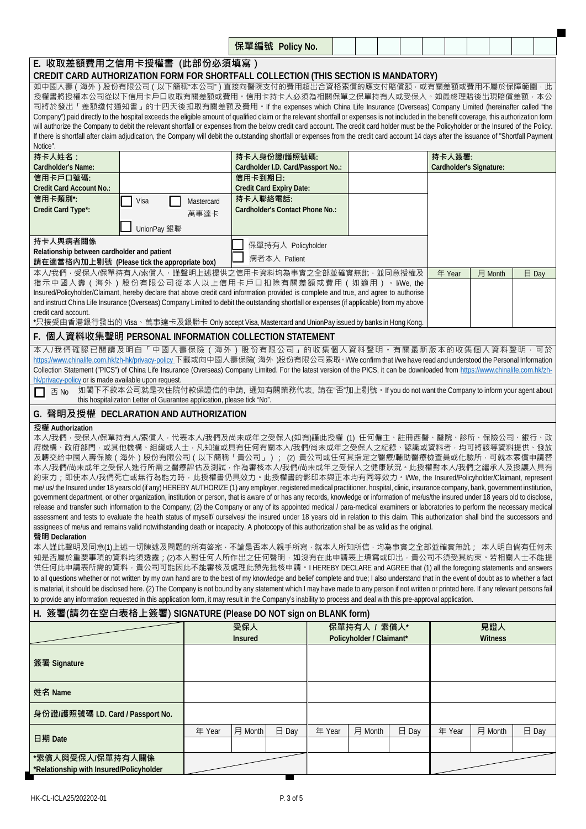|                                                                                                                                                                                                                                                                                                                                                                                                                                                                                                                                                                                                                                                                                                                                                                                                                                                                                                                                                                                                                                                                                                                                                                                                                                                                                                                                                                                                                                                                                                                                                                                                                                                                                                                                                                                                                                                                                                                                                                                                                                                                                                                                                                                                                                                                                                 |                                                                                                                                                                                 |                    |                | 保單編號 Policy No.                    |        |                          |                 |                         |                |                 |
|-------------------------------------------------------------------------------------------------------------------------------------------------------------------------------------------------------------------------------------------------------------------------------------------------------------------------------------------------------------------------------------------------------------------------------------------------------------------------------------------------------------------------------------------------------------------------------------------------------------------------------------------------------------------------------------------------------------------------------------------------------------------------------------------------------------------------------------------------------------------------------------------------------------------------------------------------------------------------------------------------------------------------------------------------------------------------------------------------------------------------------------------------------------------------------------------------------------------------------------------------------------------------------------------------------------------------------------------------------------------------------------------------------------------------------------------------------------------------------------------------------------------------------------------------------------------------------------------------------------------------------------------------------------------------------------------------------------------------------------------------------------------------------------------------------------------------------------------------------------------------------------------------------------------------------------------------------------------------------------------------------------------------------------------------------------------------------------------------------------------------------------------------------------------------------------------------------------------------------------------------------------------------------------------------|---------------------------------------------------------------------------------------------------------------------------------------------------------------------------------|--------------------|----------------|------------------------------------|--------|--------------------------|-----------------|-------------------------|----------------|-----------------|
| E. 收取差額費用之信用卡授權書 (此部份必須填寫)<br>CREDIT CARD AUTHORIZATION FORM FOR SHORTFALL COLLECTION (THIS SECTION IS MANDATORY)                                                                                                                                                                                                                                                                                                                                                                                                                                                                                                                                                                                                                                                                                                                                                                                                                                                                                                                                                                                                                                                                                                                                                                                                                                                                                                                                                                                                                                                                                                                                                                                                                                                                                                                                                                                                                                                                                                                                                                                                                                                                                                                                                                               |                                                                                                                                                                                 |                    |                |                                    |        |                          |                 |                         |                |                 |
| 如中國人壽 ( 海外 ) 股份有限公司 ( 以下簡稱"本公司" ) 直接向醫院支付的費用超出合資格索償的應支付賠償額 · 或有關差額或費用不屬於保障範圍<br>授權書將授權本公司從以下信用卡戶口收取有關差額或費用。信用卡持卡人必須為相關保單之保單持有人或受保人。如最終理賠後出現賠償差額·本公<br>司將於發出「差額缴付通知書」的十四天後扣取有關差額及費用。If the expenses which China Life Insurance (Overseas) Company Limited (hereinafter called "the<br>Company") paid directly to the hospital exceeds the eligible amount of qualified claim or the relevant shortfall or expenses is not included in the benefit coverage, this authorization form<br>will authorize the Company to debit the relevant shortfall or expenses from the below credit card account. The credit card holder must be the Policyholder or the Insured of the Policy.<br>If there is shortfall after claim adjudication, the Company will debit the outstanding shortfall or expenses from the credit card account 14 days after the issuance of "Shortfall Payment                                                                                                                                                                                                                                                                                                                                                                                                                                                                                                                                                                                                                                                                                                                                                                                                                                                                                                                                                                                                                                                                                                                                                                                                                                                                                                                                                                                                                    |                                                                                                                                                                                 |                    |                |                                    |        |                          |                 |                         |                |                 |
| Notice".<br>持卡人姓名:                                                                                                                                                                                                                                                                                                                                                                                                                                                                                                                                                                                                                                                                                                                                                                                                                                                                                                                                                                                                                                                                                                                                                                                                                                                                                                                                                                                                                                                                                                                                                                                                                                                                                                                                                                                                                                                                                                                                                                                                                                                                                                                                                                                                                                                                              |                                                                                                                                                                                 |                    |                | 持卡人身份證/護照號碼:                       |        |                          |                 | 持卡人簽署:                  |                |                 |
| Cardholder's Name:<br>信用卡戶口號碼:                                                                                                                                                                                                                                                                                                                                                                                                                                                                                                                                                                                                                                                                                                                                                                                                                                                                                                                                                                                                                                                                                                                                                                                                                                                                                                                                                                                                                                                                                                                                                                                                                                                                                                                                                                                                                                                                                                                                                                                                                                                                                                                                                                                                                                                                  |                                                                                                                                                                                 |                    | 信用卡到期日:        | Cardholder I.D. Card/Passport No.: |        |                          |                 | Cardholder's Signature: |                |                 |
| <b>Credit Card Account No.:</b><br>信用卡類別*:                                                                                                                                                                                                                                                                                                                                                                                                                                                                                                                                                                                                                                                                                                                                                                                                                                                                                                                                                                                                                                                                                                                                                                                                                                                                                                                                                                                                                                                                                                                                                                                                                                                                                                                                                                                                                                                                                                                                                                                                                                                                                                                                                                                                                                                      |                                                                                                                                                                                 |                    | 持卡人聯絡電話:       | <b>Credit Card Expiry Date:</b>    |        |                          |                 |                         |                |                 |
| Credit Card Type*:                                                                                                                                                                                                                                                                                                                                                                                                                                                                                                                                                                                                                                                                                                                                                                                                                                                                                                                                                                                                                                                                                                                                                                                                                                                                                                                                                                                                                                                                                                                                                                                                                                                                                                                                                                                                                                                                                                                                                                                                                                                                                                                                                                                                                                                                              | Visa                                                                                                                                                                            | Mastercard<br>萬事達卡 |                | Cardholder's Contact Phone No.:    |        |                          |                 |                         |                |                 |
|                                                                                                                                                                                                                                                                                                                                                                                                                                                                                                                                                                                                                                                                                                                                                                                                                                                                                                                                                                                                                                                                                                                                                                                                                                                                                                                                                                                                                                                                                                                                                                                                                                                                                                                                                                                                                                                                                                                                                                                                                                                                                                                                                                                                                                                                                                 | UnionPay 銀聯                                                                                                                                                                     |                    |                |                                    |        |                          |                 |                         |                |                 |
| 持卡人與病者關係<br>Relationship between cardholder and patient                                                                                                                                                                                                                                                                                                                                                                                                                                                                                                                                                                                                                                                                                                                                                                                                                                                                                                                                                                                                                                                                                                                                                                                                                                                                                                                                                                                                                                                                                                                                                                                                                                                                                                                                                                                                                                                                                                                                                                                                                                                                                                                                                                                                                                         |                                                                                                                                                                                 |                    |                | 保單持有人 Policyholder                 |        |                          |                 |                         |                |                 |
| 請在適當格內加上剔號 (Please tick the appropriate box)                                                                                                                                                                                                                                                                                                                                                                                                                                                                                                                                                                                                                                                                                                                                                                                                                                                                                                                                                                                                                                                                                                                                                                                                                                                                                                                                                                                                                                                                                                                                                                                                                                                                                                                                                                                                                                                                                                                                                                                                                                                                                                                                                                                                                                                    |                                                                                                                                                                                 |                    |                | 病者本人 Patient                       |        |                          |                 |                         |                |                 |
| 本人/我們 · 受保人/保單持有人/索償人 · 謹聲明上述提供之信用卡資料均為事實之全部並確實無訛 · 並同意授權及<br>指示中國人壽 (海外)股份有限公司從本人以上信用卡戶口扣除有關差額或費用 (如適用) · I/We, the                                                                                                                                                                                                                                                                                                                                                                                                                                                                                                                                                                                                                                                                                                                                                                                                                                                                                                                                                                                                                                                                                                                                                                                                                                                                                                                                                                                                                                                                                                                                                                                                                                                                                                                                                                                                                                                                                                                                                                                                                                                                                                                                                                            |                                                                                                                                                                                 |                    |                |                                    |        |                          |                 | 年 Year                  | 月 Month        | $\boxminus$ Day |
| Insured/Policyholder/Claimant, hereby declare that above credit card information provided is complete and true, and agree to authorise<br>and instruct China Life Insurance (Overseas) Company Limited to debit the outstanding shortfall or expenses (if applicable) from my above<br>credit card account.                                                                                                                                                                                                                                                                                                                                                                                                                                                                                                                                                                                                                                                                                                                                                                                                                                                                                                                                                                                                                                                                                                                                                                                                                                                                                                                                                                                                                                                                                                                                                                                                                                                                                                                                                                                                                                                                                                                                                                                     |                                                                                                                                                                                 |                    |                |                                    |        |                          |                 |                         |                |                 |
| *只接受由香港銀行發出的 Visa、萬事達卡及銀聯卡 Only accept Visa, Mastercard and UnionPay issued by banks in Hong Kong.                                                                                                                                                                                                                                                                                                                                                                                                                                                                                                                                                                                                                                                                                                                                                                                                                                                                                                                                                                                                                                                                                                                                                                                                                                                                                                                                                                                                                                                                                                                                                                                                                                                                                                                                                                                                                                                                                                                                                                                                                                                                                                                                                                                              |                                                                                                                                                                                 |                    |                |                                    |        |                          |                 |                         |                |                 |
| F. 個人資料收集聲明 PERSONAL INFORMATION COLLECTION STATEMENT<br>本人/我們確認已閱讀及明白「中國人壽保險(海外)股份有限公司」的收集個人資料聲明。有關最新版本的收集個人資料聲明 · 可於                                                                                                                                                                                                                                                                                                                                                                                                                                                                                                                                                                                                                                                                                                                                                                                                                                                                                                                                                                                                                                                                                                                                                                                                                                                                                                                                                                                                                                                                                                                                                                                                                                                                                                                                                                                                                                                                                                                                                                                                                                                                                                                                                                          |                                                                                                                                                                                 |                    |                |                                    |        |                          |                 |                         |                |                 |
| https://www.chinalife.com.hk/zh-hk/privacy-policy 下載或向中國人壽保險 海外 )股份有限公司索取 • I/We confirm that I/we have read and understood the Personal Information<br>Collection Statement ("PICS") of China Life Insurance (Overseas) Company Limited. For the latest version of the PICS, it can be downloaded from https://www.chinalife.com.hk/zh-<br>hk/privacy-policy or is made available upon request.                                                                                                                                                                                                                                                                                                                                                                                                                                                                                                                                                                                                                                                                                                                                                                                                                                                                                                                                                                                                                                                                                                                                                                                                                                                                                                                                                                                                                                                                                                                                                                                                                                                                                                                                                                                                                                                                                                |                                                                                                                                                                                 |                    |                |                                    |        |                          |                 |                         |                |                 |
| 否 No<br>l 1                                                                                                                                                                                                                                                                                                                                                                                                                                                                                                                                                                                                                                                                                                                                                                                                                                                                                                                                                                                                                                                                                                                                                                                                                                                                                                                                                                                                                                                                                                                                                                                                                                                                                                                                                                                                                                                                                                                                                                                                                                                                                                                                                                                                                                                                                     | 如閣下不欲本公司就是次住院付款保證信的申請, 通知有關業務代表, 請在"否"加上剔號。If you do not want the Company to inform your agent about<br>this hospitalization Letter of Guarantee application, please tick "No". |                    |                |                                    |        |                          |                 |                         |                |                 |
| G. 聲明及授權 DECLARATION AND AUTHORIZATION                                                                                                                                                                                                                                                                                                                                                                                                                                                                                                                                                                                                                                                                                                                                                                                                                                                                                                                                                                                                                                                                                                                                                                                                                                                                                                                                                                                                                                                                                                                                                                                                                                                                                                                                                                                                                                                                                                                                                                                                                                                                                                                                                                                                                                                          |                                                                                                                                                                                 |                    |                |                                    |        |                          |                 |                         |                |                 |
| 授權 Authorization<br>本人/我們 · 受保人/保單持有人/索償人 · 代表本人/我們及尚未成年之受保人(如有)謹此授權 (1) 任何僱主、註冊西醫、醫院、診所、保險公司、銀行、政<br>府機構、政府部門 · 或其他機構、組織或人士 · 凡知道或具有任何有關本人/我們/尚未成年之受保人之紀錄、認識或資料者 · 均可將該等資料提供<br>及轉交給中國人壽保險(海外)股份有限公司(以下簡稱「貴公司」); (2) 貴公司或任何其指定之醫療/輔助醫療檢查員或化驗所 · 可就本索償申請替<br>本人/我們/尚未成年之受保人進行所需之醫療評估及測試 · 作為審核本人/我們/尚未成年之受保人之健康狀況 · 此授權對本人/我們之繼承人及授讓人具有<br>約束力;即使本人/我們死亡或無行為能力時,此授權書仍具效力。此授權書的影印本與正本均有同等效力。I/We, the Insured/Policyholder/Claimant, represent<br>me/ us/ the Insured under 18 years old (if any) HEREBY AUTHORIZE (1) any employer, registered medical practitioner, hospital, clinic, insurance company, bank, government institution,<br>government department, or other organization, institution or person, that is aware of or has any records, knowledge or information of me/us/the insured under 18 years old to disclose,<br>release and transfer such information to the Company; (2) the Company or any of its appointed medical / para-medical examiners or laboratories to perform the necessary medical<br>assessment and tests to evaluate the health status of myself/ ourselves/ the insured under 18 years old in relation to this claim. This authorization shall bind the successors and<br>assignees of me/us and remains valid notwithstanding death or incapacity. A photocopy of this authorization shall be as valid as the original.<br>聲明 Declaration<br>本人謹此聲明及同意(1)上述一切陳述及問題的所有答案 · 不論是否本人親手所寫 · 就本人所知所信 · 均為事實之全部並確實無訛; 本人明白倘有任何未<br>知是否屬於重要事項的資料均須透露;(2)本人對任何人所作出之任何聲明 · 如沒有在此申請表上填寫或印出 · 貴公司不須受其約束 · 若相關人士不能提<br>供任何此申請表所需的資料 · 貴公司可能因此不能審核及處理此預先批核申請 · I HEREBY DECLARE and AGREE that (1) all the foregoing statements and answers<br>to all questions whether or not written by my own hand are to the best of my knowledge and belief complete and true; I also understand that in the event of doubt as to whether a fact<br>is material, it should be disclosed here. (2) The Company is not bound by any statement which I may have made to any person if not written or printed here. If any relevant persons fail<br>to provide any information requested in this application form, it may result in the Company's inability to process and deal with this pre-approval application.<br>H. 簽署(請勿在空白表格上簽署) SIGNATURE (Please DO NOT sign on BLANK form) |                                                                                                                                                                                 |                    |                |                                    |        |                          |                 |                         |                | 、發放             |
|                                                                                                                                                                                                                                                                                                                                                                                                                                                                                                                                                                                                                                                                                                                                                                                                                                                                                                                                                                                                                                                                                                                                                                                                                                                                                                                                                                                                                                                                                                                                                                                                                                                                                                                                                                                                                                                                                                                                                                                                                                                                                                                                                                                                                                                                                                 |                                                                                                                                                                                 |                    | 受保人            |                                    |        | 保單持有人 / 索償人*             |                 |                         | 見證人            |                 |
|                                                                                                                                                                                                                                                                                                                                                                                                                                                                                                                                                                                                                                                                                                                                                                                                                                                                                                                                                                                                                                                                                                                                                                                                                                                                                                                                                                                                                                                                                                                                                                                                                                                                                                                                                                                                                                                                                                                                                                                                                                                                                                                                                                                                                                                                                                 |                                                                                                                                                                                 |                    | <b>Insured</b> |                                    |        | Policyholder / Claimant* |                 |                         | <b>Witness</b> |                 |
| 簽署 Signature                                                                                                                                                                                                                                                                                                                                                                                                                                                                                                                                                                                                                                                                                                                                                                                                                                                                                                                                                                                                                                                                                                                                                                                                                                                                                                                                                                                                                                                                                                                                                                                                                                                                                                                                                                                                                                                                                                                                                                                                                                                                                                                                                                                                                                                                                    |                                                                                                                                                                                 |                    |                |                                    |        |                          |                 |                         |                |                 |
| 姓名 Name                                                                                                                                                                                                                                                                                                                                                                                                                                                                                                                                                                                                                                                                                                                                                                                                                                                                                                                                                                                                                                                                                                                                                                                                                                                                                                                                                                                                                                                                                                                                                                                                                                                                                                                                                                                                                                                                                                                                                                                                                                                                                                                                                                                                                                                                                         |                                                                                                                                                                                 |                    |                |                                    |        |                          |                 |                         |                |                 |
| 身份證/護照號碼 I.D. Card / Passport No.                                                                                                                                                                                                                                                                                                                                                                                                                                                                                                                                                                                                                                                                                                                                                                                                                                                                                                                                                                                                                                                                                                                                                                                                                                                                                                                                                                                                                                                                                                                                                                                                                                                                                                                                                                                                                                                                                                                                                                                                                                                                                                                                                                                                                                                               |                                                                                                                                                                                 |                    |                |                                    |        |                          |                 |                         |                |                 |
| 日期 Date                                                                                                                                                                                                                                                                                                                                                                                                                                                                                                                                                                                                                                                                                                                                                                                                                                                                                                                                                                                                                                                                                                                                                                                                                                                                                                                                                                                                                                                                                                                                                                                                                                                                                                                                                                                                                                                                                                                                                                                                                                                                                                                                                                                                                                                                                         |                                                                                                                                                                                 | 年 Year             | 月 Month        | $\boxminus$ Day                    | 年 Year | 月 Month                  | $\boxminus$ Day | 年 Year                  | 月 Month        | $\boxminus$ Day |
| *索償人與受保人/保單持有人關係<br>*Relationship with Insured/Policyholder                                                                                                                                                                                                                                                                                                                                                                                                                                                                                                                                                                                                                                                                                                                                                                                                                                                                                                                                                                                                                                                                                                                                                                                                                                                                                                                                                                                                                                                                                                                                                                                                                                                                                                                                                                                                                                                                                                                                                                                                                                                                                                                                                                                                                                     |                                                                                                                                                                                 |                    |                |                                    |        |                          |                 |                         |                |                 |

п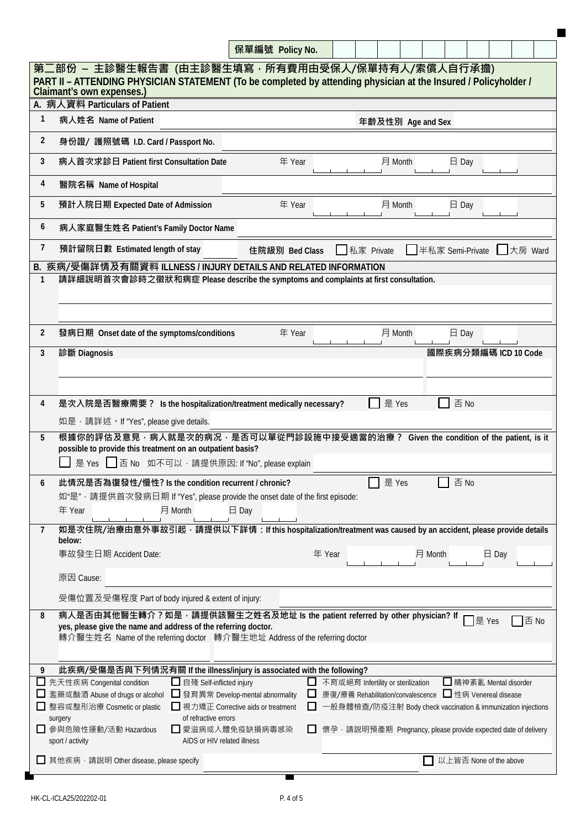|                                                                                                                                                                                                                                                                                                                              | 保單編號 Policy No.                                                          |        |                                                                                                                                                                |                   |                  |                 |        |                        |                        |      |
|------------------------------------------------------------------------------------------------------------------------------------------------------------------------------------------------------------------------------------------------------------------------------------------------------------------------------|--------------------------------------------------------------------------|--------|----------------------------------------------------------------------------------------------------------------------------------------------------------------|-------------------|------------------|-----------------|--------|------------------------|------------------------|------|
| 第二部份 – 主診醫生報告書 (由主診醫生填寫,所有費用由受保人/保單持有人/索償人自行承擔)<br>PART II - ATTENDING PHYSICIAN STATEMENT (To be completed by attending physician at the Insured / Policyholder /<br>Claimant's own expenses.)                                                                                                                              |                                                                          |        |                                                                                                                                                                |                   |                  |                 |        |                        |                        |      |
| A. 病人資料 Particulars of Patient<br>1<br>病人姓名 Name of Patient                                                                                                                                                                                                                                                                  |                                                                          |        |                                                                                                                                                                |                   |                  |                 |        |                        |                        |      |
|                                                                                                                                                                                                                                                                                                                              |                                                                          |        |                                                                                                                                                                | 年齡及性別 Age and Sex |                  |                 |        |                        |                        |      |
| 2<br>身份證/ 護照號碼 I.D. Card / Passport No.                                                                                                                                                                                                                                                                                      |                                                                          |        |                                                                                                                                                                |                   |                  |                 |        |                        |                        |      |
| 3<br>病人首次求診日 Patient first Consultation Date                                                                                                                                                                                                                                                                                 | 年 Year                                                                   |        |                                                                                                                                                                | 月 Month           |                  | $\Box$ Day      |        |                        |                        |      |
| 4<br>醫院名稱 Name of Hospital                                                                                                                                                                                                                                                                                                   |                                                                          |        |                                                                                                                                                                |                   |                  |                 |        |                        |                        |      |
| 預計入院日期 Expected Date of Admission<br>5                                                                                                                                                                                                                                                                                       | 年 Year                                                                   |        |                                                                                                                                                                | 月 Month           |                  | $\boxminus$ Day |        |                        |                        |      |
| 6<br>病人家庭醫生姓名 Patient's Family Doctor Name                                                                                                                                                                                                                                                                                   |                                                                          |        |                                                                                                                                                                |                   |                  |                 |        |                        |                        |      |
| 7<br>預計留院日數 Estimated length of stay                                                                                                                                                                                                                                                                                         | 住院級別 Bed Class                                                           |        | ■私家 Private                                                                                                                                                    |                   | 半私家 Semi-Private |                 |        |                        | $\Box$ 大房 Ward         |      |
| B. 疾病/受傷詳情及有關資料 ILLNESS / INJURY DETAILS AND RELATED INFORMATION<br>請詳細說明首次會診時之徵狀和病症 Please describe the symptoms and complaints at first consultation.<br>$\mathbf{1}$                                                                                                                                                      |                                                                          |        |                                                                                                                                                                |                   |                  |                 |        |                        |                        |      |
| $\overline{2}$<br>發病日期 Onset date of the symptoms/conditions                                                                                                                                                                                                                                                                 | 年 Year                                                                   |        |                                                                                                                                                                | 月 Month           |                  | $\boxminus$ Day |        |                        |                        |      |
| 診斷 Diagnosis<br>3                                                                                                                                                                                                                                                                                                            |                                                                          |        |                                                                                                                                                                |                   |                  |                 |        |                        | 國際疾病分類編碼 ICD 10 Code   |      |
| 是次入院是否醫療需要? Is the hospitalization/treatment medically necessary?<br>4<br>如是, 請詳述。If "Yes", please give details.<br>根據你的評估及意見,病人就是次的病况,是否可以單從門診設施中接受適當的治療? Given the condition of the patient, is it<br>5<br>possible to provide this treatment on an outpatient basis?<br>是 Yes   否 No 如不可以, 請提供原因: If "No", please explain |                                                                          |        |                                                                                                                                                                | 是 Yes             |                  | 否 No            |        |                        |                        |      |
| 此情況是否為復發性/慢性? Is the condition recurrent / chronic?<br>6<br>如"是" · 請提供首次發病日期 If "Yes", please provide the onset date of the first episode:<br>年 Year<br>月 Month                                                                                                                                                              | $\boxminus$ Day                                                          |        |                                                                                                                                                                | 是 Yes             |                  | 否 No            |        |                        |                        |      |
| 如是次住院/治療由意外事故引起,請提供以下詳情: If this hospitalization/treatment was caused by an accident, please provide details<br>7<br>below:                                                                                                                                                                                                  |                                                                          |        |                                                                                                                                                                |                   |                  |                 |        |                        |                        |      |
| 事故發生日期 Accident Date:                                                                                                                                                                                                                                                                                                        |                                                                          | 年 Year |                                                                                                                                                                |                   | 月 Month          |                 |        | $\boxminus$ Day        |                        |      |
| 原因 Cause:                                                                                                                                                                                                                                                                                                                    |                                                                          |        |                                                                                                                                                                |                   |                  |                 |        |                        |                        |      |
| 受傷位置及受傷程度 Part of body injured & extent of injury:                                                                                                                                                                                                                                                                           |                                                                          |        |                                                                                                                                                                |                   |                  |                 |        |                        |                        |      |
| 病人是否由其他醫生轉介?如是,請提供該醫生之姓名及地址 Is the patient referred by other physician? If<br>8<br>yes, please give the name and address of the referring doctor.<br>轉介醫生姓名 Name of the referring doctor 轉介醫生地址 Address of the referring doctor                                                                                              |                                                                          |        |                                                                                                                                                                |                   |                  |                 | ヿ是 Yes |                        |                        | 否 No |
| 此疾病/受傷是否與下列情況有關 If the illness/injury is associated with the following?<br>9                                                                                                                                                                                                                                                 |                                                                          |        |                                                                                                                                                                |                   |                  |                 |        |                        |                        |      |
| 先天性疾病 Congenital condition<br>■ 自殘 Self-inflicted injury<br>ப<br>濫藥或酗酒 Abuse of drugs or alcohol<br>整容或整形治療 Cosmetic or plastic                                                                                                                                                                                              | ■ 發育異常 Develop-mental abnormality<br>□ 視力矯正 Corrective aids or treatment |        | 不育或絕育 Infertility or sterilization<br>康復/療養 Rehabilitation/convalescence ■ 性病 Venereal disease<br>一般身體檢查/防疫注射 Body check vaccination & immunization injections |                   |                  |                 |        |                        | □ 精神紊亂 Mental disorder |      |
| of refractive errors<br>surgery<br>■ 參與危險性運動/活動 Hazardous<br>sport / activity<br>AIDS or HIV related illness                                                                                                                                                                                                                 | ■愛滋病或人體免疫缺損病毒感染                                                          | ப      | 懷孕,請說明預產期 Pregnancy, please provide expected date of delivery                                                                                                  |                   |                  |                 |        |                        |                        |      |
| ■ 其他疾病, 請說明 Other disease, please specify                                                                                                                                                                                                                                                                                    |                                                                          |        |                                                                                                                                                                |                   |                  |                 |        | 以上皆否 None of the above |                        |      |

 $\blacksquare$